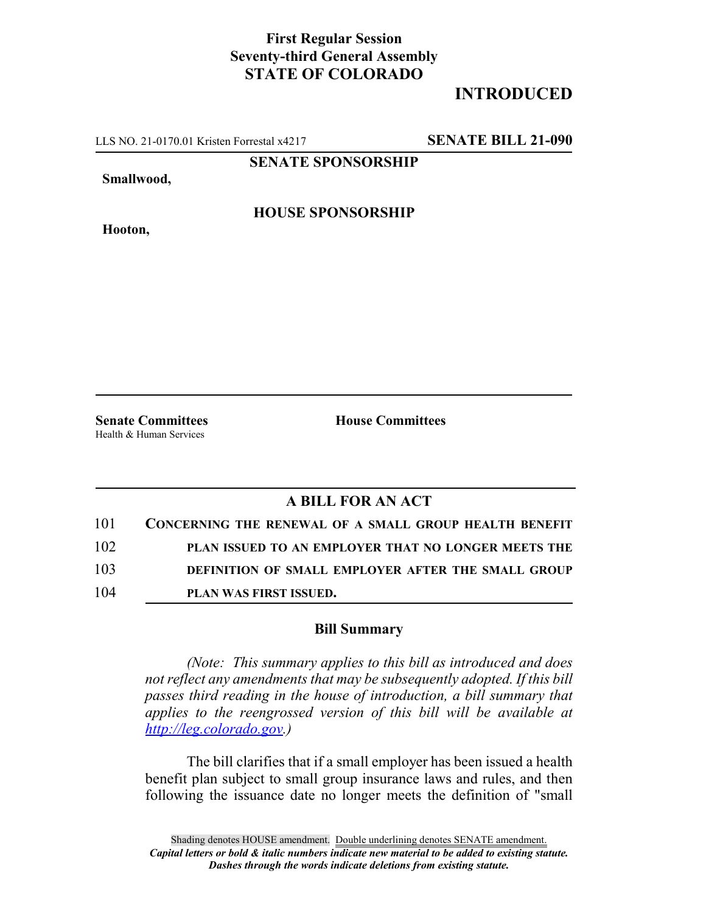## **First Regular Session Seventy-third General Assembly STATE OF COLORADO**

## **INTRODUCED**

LLS NO. 21-0170.01 Kristen Forrestal x4217 **SENATE BILL 21-090**

**SENATE SPONSORSHIP**

**Smallwood,**

**HOUSE SPONSORSHIP**

**Hooton,**

**Senate Committees House Committees** Health & Human Services

## **A BILL FOR AN ACT**

| 101 | <b>CONCERNING THE RENEWAL OF A SMALL GROUP HEALTH BENEFIT</b> |
|-----|---------------------------------------------------------------|
| 102 | PLAN ISSUED TO AN EMPLOYER THAT NO LONGER MEETS THE           |
| 103 | DEFINITION OF SMALL EMPLOYER AFTER THE SMALL GROUP            |
| 104 | <b>PLAN WAS FIRST ISSUED.</b>                                 |

## **Bill Summary**

*(Note: This summary applies to this bill as introduced and does not reflect any amendments that may be subsequently adopted. If this bill passes third reading in the house of introduction, a bill summary that applies to the reengrossed version of this bill will be available at http://leg.colorado.gov.)*

The bill clarifies that if a small employer has been issued a health benefit plan subject to small group insurance laws and rules, and then following the issuance date no longer meets the definition of "small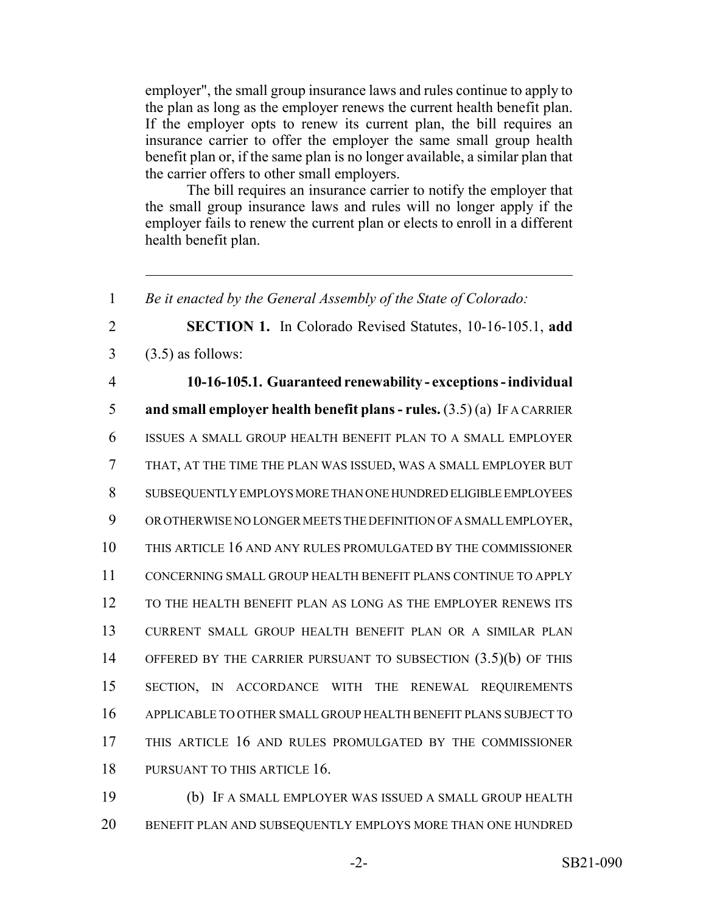employer", the small group insurance laws and rules continue to apply to the plan as long as the employer renews the current health benefit plan. If the employer opts to renew its current plan, the bill requires an insurance carrier to offer the employer the same small group health benefit plan or, if the same plan is no longer available, a similar plan that the carrier offers to other small employers.

The bill requires an insurance carrier to notify the employer that the small group insurance laws and rules will no longer apply if the employer fails to renew the current plan or elects to enroll in a different health benefit plan.

 *Be it enacted by the General Assembly of the State of Colorado:* **SECTION 1.** In Colorado Revised Statutes, 10-16-105.1, **add**  $3 \quad (3.5)$  as follows: **10-16-105.1. Guaranteed renewability - exceptions - individual and small employer health benefit plans - rules.** (3.5) (a) IF A CARRIER ISSUES A SMALL GROUP HEALTH BENEFIT PLAN TO A SMALL EMPLOYER THAT, AT THE TIME THE PLAN WAS ISSUED, WAS A SMALL EMPLOYER BUT SUBSEQUENTLY EMPLOYS MORE THAN ONE HUNDRED ELIGIBLE EMPLOYEES OR OTHERWISE NO LONGER MEETS THE DEFINITION OF A SMALL EMPLOYER, THIS ARTICLE 16 AND ANY RULES PROMULGATED BY THE COMMISSIONER CONCERNING SMALL GROUP HEALTH BENEFIT PLANS CONTINUE TO APPLY TO THE HEALTH BENEFIT PLAN AS LONG AS THE EMPLOYER RENEWS ITS CURRENT SMALL GROUP HEALTH BENEFIT PLAN OR A SIMILAR PLAN 14 OFFERED BY THE CARRIER PURSUANT TO SUBSECTION  $(3.5)(b)$  OF THIS SECTION, IN ACCORDANCE WITH THE RENEWAL REQUIREMENTS APPLICABLE TO OTHER SMALL GROUP HEALTH BENEFIT PLANS SUBJECT TO THIS ARTICLE 16 AND RULES PROMULGATED BY THE COMMISSIONER 18 PURSUANT TO THIS ARTICLE 16.

19 (b) IF A SMALL EMPLOYER WAS ISSUED A SMALL GROUP HEALTH 20 BENEFIT PLAN AND SUBSEQUENTLY EMPLOYS MORE THAN ONE HUNDRED